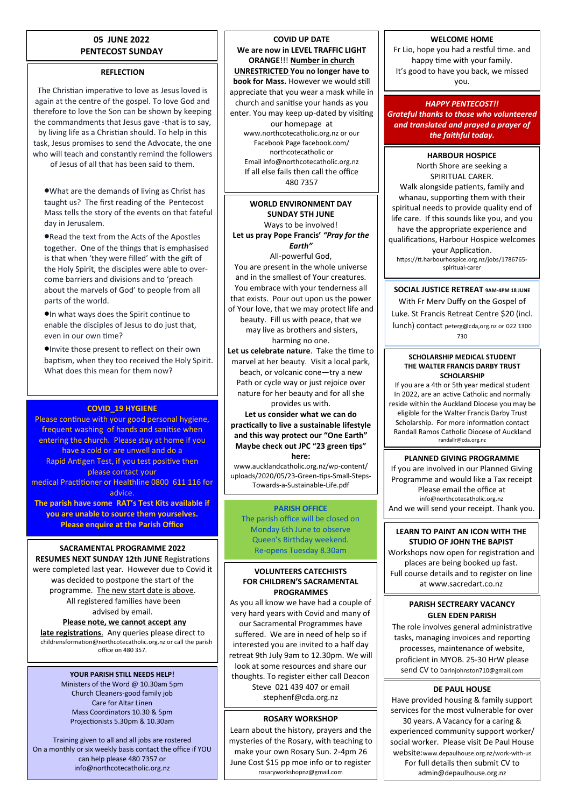## **05 JUNE 2022 PENTECOST SUNDAY**

## **REFLECTION**

The Christian imperative to love as Jesus loved is again at the centre of the gospel. To love God and therefore to love the Son can be shown by keeping the commandments that Jesus gave -that is to say, by living life as a Christian should. To help in this task, Jesus promises to send the Advocate, the one who will teach and constantly remind the followers of Jesus of all that has been said to them.

What are the demands of living as Christ has taught us? The first reading of the Pentecost Mass tells the story of the events on that fateful day in Jerusalem.

Read the text from the Acts of the Apostles together. One of the things that is emphasised is that when 'they were filled' with the gift of the Holy Spirit, the disciples were able to overcome barriers and divisions and to 'preach about the marvels of God' to people from all parts of the world.

In what ways does the Spirit continue to enable the disciples of Jesus to do just that, even in our own time?

Invite those present to reflect on their own baptism, when they too received the Holy Spirit. What does this mean for them now?

## **COVID\_19 HYGIENE**

Please continue with your good personal hygiene, frequent washing of hands and sanitise when entering the church. Please stay at home if you have a cold or are unwell and do a Rapid Antigen Test, if you test positive then please contact your medical Practitioner or Healthline 0800 611 116 for advice. **The parish have some RAT's Test Kits available if** 

**you are unable to source them yourselves. Please enquire at the Parish Office**

# **SACRAMENTAL PROGRAMME 2022**

**RESUMES NEXT SUNDAY 12th JUNE** Registrations were completed last year. However due to Covid it was decided to postpone the start of the programme. The new start date is above. All registered families have been advised by email.

#### **Please note, we cannot accept any late registrations**. Any queries please direct to childrensformation@northcotecatholic.org.nz or call the parish office on 480 357.

#### **YOUR PARISH STILL NEEDS HELP!**

Ministers of the Word @ 10.30am 5pm Church Cleaners-good family job Care for Altar Linen Mass Coordinators 10.30 & 5pm Projectionists 5.30pm & 10.30am

Training given to all and all jobs are rostered On a monthly or six weekly basis contact the office if YOU can help please 480 7357 or info@northcotecatholic.org.nz

**COVID UP DATE We are now in LEVEL TRAFFIC LIGHT ORANGE**!!! **Number in church UNRESTRICTED You no longer have to book for Mass.** However we would still appreciate that you wear a mask while in church and sanitise your hands as you enter. You may keep up-dated by visiting our homepage at www.northcotecatholic.org.nz or our Facebook Page facebook.com/ northcotecatholic or Email info@northcotecatholic.org.nz If all else fails then call the office 480 7357

#### **WORLD ENVIRONMENT DAY SUNDAY 5TH JUNE** Ways to be involved! **Let us pray Pope Francis'** *"Pray for the Earth"*

All-powerful God, You are present in the whole universe and in the smallest of Your creatures. You embrace with your tenderness all that exists. Pour out upon us the power of Your love, that we may protect life and beauty. Fill us with peace, that we may live as brothers and sisters, harming no one.

**Let us celebrate nature**. Take the time to marvel at her beauty. Visit a local park, beach, or volcanic cone—try a new Path or cycle way or just rejoice over nature for her beauty and for all she provides us with.

**Let us consider what we can do practically to live a sustainable lifestyle and this way protect our "One Earth" Maybe check out JPC "23 green tips" here:**

www.aucklandcatholic.org.nz/wp-content/ uploads/2020/05/23-Green-tips-Small-Steps-Towards-a-Sustainable-Life.pdf

## **PARISH OFFICE**

The parish office will be closed on Monday 6th June to observe Queen's Birthday weekend. Re-opens Tuesday 8.30am

## **VOLUNTEERS CATECHISTS FOR CHILDREN'S SACRAMENTAL PROGRAMMES**

As you all know we have had a couple of very hard years with Covid and many of our Sacramental Programmes have suffered. We are in need of help so if interested you are invited to a half day retreat 9th July 9am to 12.30pm. We will look at some resources and share our thoughts. To register either call Deacon Steve 021 439 407 or email stephenf@cda.org.nz

## **ROSARY WORKSHOP**

Learn about the history, prayers and the mysteries of the Rosary, with teaching to make your own Rosary Sun. 2-4pm 26 June Cost \$15 pp moe info or to register rosaryworkshopnz@gmail.com

## **WELCOME HOME**

Fr Lio, hope you had a restful time. and happy time with your family. It's good to have you back, we missed you.

## *HAPPY PENTECOST!!*

*Grateful thanks to those who volunteered and translated and prayed a prayer of the faithful today.*

### **HARBOUR HOSPICE**

North Shore are seeking a SPIRITUAL CARER. Walk alongside patients, family and whanau, supporting them with their spiritual needs to provide quality end of life care. If this sounds like you, and you have the appropriate experience and qualifications, Harbour Hospice welcomes your Application. https://tt.harbourhospice.org.nz/jobs/1786765 spiritual-carer

**SOCIAL JUSTICE RETREAT 9AM-4PM 18 JUNE**

With Fr Merv Duffy on the Gospel of Luke. St Francis Retreat Centre \$20 (incl. lunch) contact peterg@cda,org.nz or 022 1300 730

#### **SCHOLARSHIP MEDICAL STUDENT THE WALTER FRANCIS DARBY TRUST SCHOLARSHIP**

If you are a 4th or 5th year medical student In 2022, are an active Catholic and normally reside within the Auckland Diocese you may be eligible for the Walter Francis Darby Trust Scholarship. For more information contact Randall Ramos Catholic Diocese of Auckland randallr@cda.org.nz

## **PLANNED GIVING PROGRAMME**

If you are involved in our Planned Giving Programme and would like a Tax receipt Please email the office at info@northcotecatholic.org.nz And we will send your receipt. Thank you.

#### **LEARN TO PAINT AN ICON WITH THE STUDIO OF JOHN THE BAPIST**

Workshops now open for registration and places are being booked up fast. Full course details and to register on line at www.sacredart.co.nz

## **PARISH SECTREARY VACANCY GLEN EDEN PARISH**

The role involves general administrative tasks, managing invoices and reporting processes, maintenance of website, proficient in MYOB. 25-30 HrW please send CV to Darinjohnston710@gmail.com

## **DE PAUL HOUSE**

Have provided housing & family support services for the most vulnerable for over 30 years. A Vacancy for a caring & experienced community support worker/ social worker. Please visit De Paul House website:www.depaulhouse.org.nz/work-with-us For full details then submit CV to admin@depaulhouse.org.nz